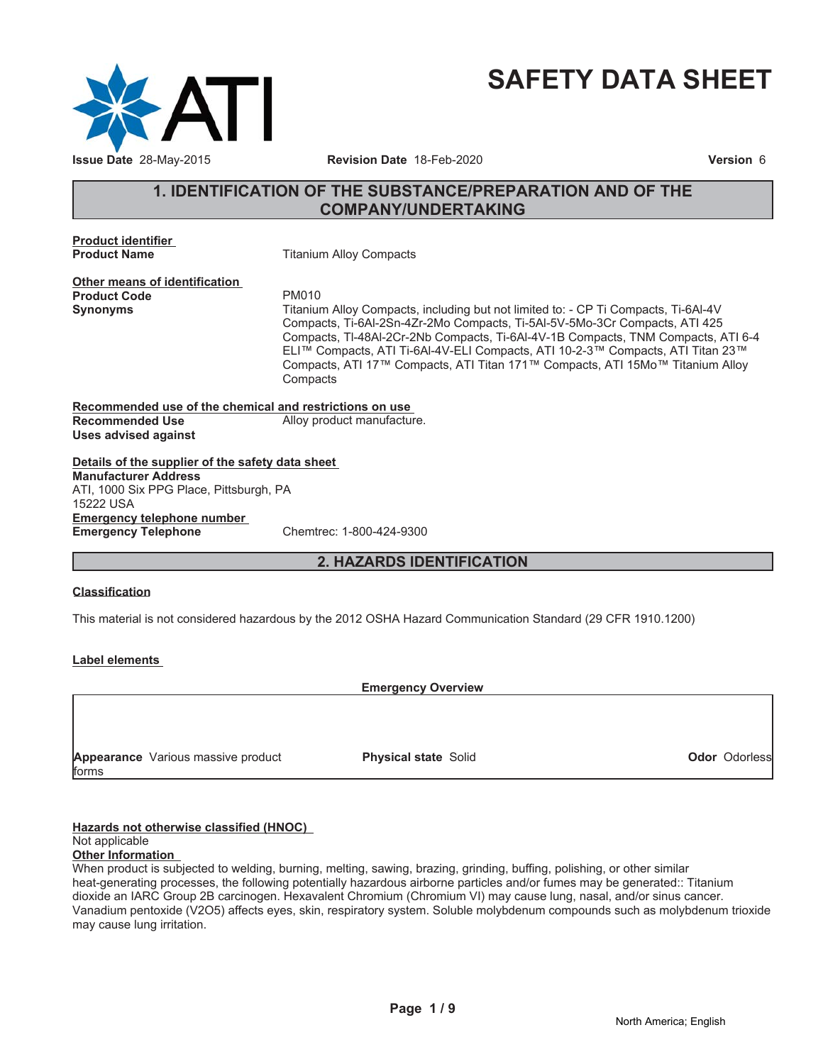

# **SAFETY DATA SHEET**

# **1. IDENTIFICATION OF THE SUBSTANCE/PREPARATION AND OF THE COMPANY/UNDERTAKING**

**Product identifier**

**Product Name** Titanium Alloy Compacts

**Other means of identification Product Code PM010** 

**Synonyms** Titanium Alloy Compacts, including but not limited to: - CP Ti Compacts, Ti-6Al-4V Compacts, Ti-6Al-2Sn-4Zr-2Mo Compacts, Ti-5Al-5V-5Mo-3Cr Compacts, ATI 425 Compacts, Tl-48Al-2Cr-2Nb Compacts, Ti-6Al-4V-1B Compacts, TNM Compacts, ATI 6-4 ELI™ Compacts, ATI Ti-6AI-4V-ELI Compacts, ATI 10-2-3™ Compacts, ATI Titan 23™ Compacts, ATI 17™ Compacts, ATI Titan 171™ Compacts, ATI 15Mo™ Titanium Alloy **Compacts** 

**Recommended use of the chemical and restrictions on use Recommended Use** Alloy product manufacture. **Uses advised against**

**Details of the supplier of the safety data sheet Emergency telephone number Emergency Telephone** Chemtrec: 1-800-424-9300 **Manufacturer Address** ATI, 1000 Six PPG Place, Pittsburgh, PA 15222 USA

# **2. HAZARDS IDENTIFICATION**

#### **Classification**

This material is not considered hazardous by the 2012 OSHA Hazard Communication Standard (29 CFR 1910.1200)

#### **Label elements**

**Emergency Overview**

**Appearance** Various massive product forms

**Physical state** Solid

**Odor** Odorless

#### **Hazards not otherwise classified (HNOC)**

#### Not applicable

#### **Other Information**

When product is subjected to welding, burning, melting, sawing, brazing, grinding, buffing, polishing, or other similar heat-generating processes, the following potentially hazardous airborne particles and/or fumes may be generated:: Titanium dioxide an IARC Group 2B carcinogen. Hexavalent Chromium (Chromium VI) may cause lung, nasal, and/or sinus cancer. Vanadium pentoxide (V2O5) affects eyes, skin, respiratory system. Soluble molybdenum compounds such as molybdenum trioxide may cause lung irritation.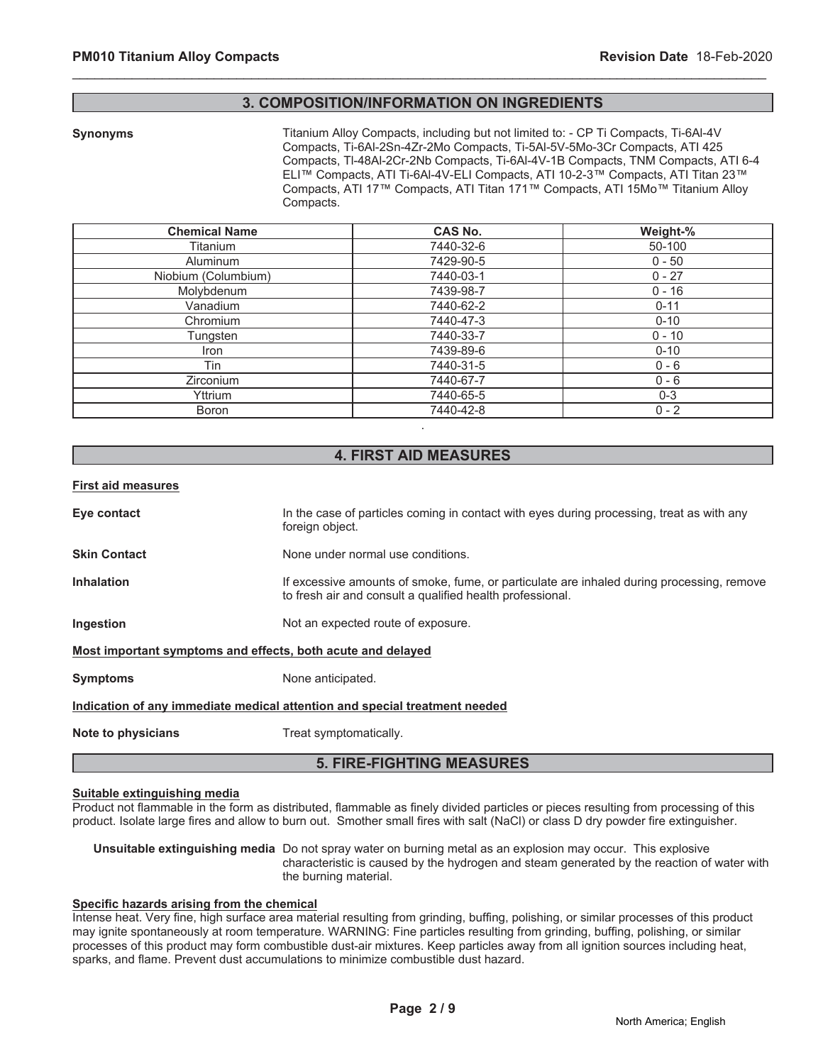### **3. COMPOSITION/INFORMATION ON INGREDIENTS**

\_\_\_\_\_\_\_\_\_\_\_\_\_\_\_\_\_\_\_\_\_\_\_\_\_\_\_\_\_\_\_\_\_\_\_\_\_\_\_\_\_\_\_\_\_\_\_\_\_\_\_\_\_\_\_\_\_\_\_\_\_\_\_\_\_\_\_\_\_\_\_\_\_\_\_\_\_\_\_\_\_\_\_\_\_\_\_\_\_\_\_\_\_

**Synonyms** Titanium Alloy Compacts, including but not limited to: - CP Ti Compacts, Ti-6Al-4V Compacts, Ti-6Al-2Sn-4Zr-2Mo Compacts, Ti-5Al-5V-5Mo-3Cr Compacts, ATI 425 Compacts, Tl-48Al-2Cr-2Nb Compacts, Ti-6Al-4V-1B Compacts, TNM Compacts, ATI 6-4 ELI™ Compacts, ATI Ti-6AI-4V-ELI Compacts, ATI 10-2-3™ Compacts, ATI Titan 23™ Compacts, ATI 17™ Compacts, ATI Titan 171™ Compacts, ATI 15Mo™ Titanium Alloy Compacts.

| <b>Chemical Name</b> | <b>CAS No.</b> | Weight-% |
|----------------------|----------------|----------|
| Titanium             | 7440-32-6      | 50-100   |
| <b>Aluminum</b>      | 7429-90-5      | $0 - 50$ |
| Niobium (Columbium)  | 7440-03-1      | $0 - 27$ |
| Molybdenum           | 7439-98-7      | $0 - 16$ |
| Vanadium             | 7440-62-2      | $0 - 11$ |
| Chromium             | 7440-47-3      | $0 - 10$ |
| Tungsten             | 7440-33-7      | $0 - 10$ |
| Iron                 | 7439-89-6      | $0 - 10$ |
| Tin                  | 7440-31-5      | $0 - 6$  |
| <b>Zirconium</b>     | 7440-67-7      | $0 - 6$  |
| Yttrium              | 7440-65-5      | $0 - 3$  |
| <b>Boron</b>         | 7440-42-8      | $0 - 2$  |

# **4. FIRST AID MEASURES**

.

#### **First aid measures**

| Eye contact                                                                | In the case of particles coming in contact with eyes during processing, treat as with any<br>foreign object.                                           |  |  |
|----------------------------------------------------------------------------|--------------------------------------------------------------------------------------------------------------------------------------------------------|--|--|
| <b>Skin Contact</b>                                                        | None under normal use conditions.                                                                                                                      |  |  |
| <b>Inhalation</b>                                                          | If excessive amounts of smoke, fume, or particulate are inhaled during processing, remove<br>to fresh air and consult a qualified health professional. |  |  |
| <b>Ingestion</b>                                                           | Not an expected route of exposure.                                                                                                                     |  |  |
| Most important symptoms and effects, both acute and delayed                |                                                                                                                                                        |  |  |
| <b>Symptoms</b>                                                            | None anticipated.                                                                                                                                      |  |  |
| Indication of any immediate medical attention and special treatment needed |                                                                                                                                                        |  |  |
| Note to physicians                                                         | Treat symptomatically.                                                                                                                                 |  |  |
|                                                                            |                                                                                                                                                        |  |  |

# **5. FIRE-FIGHTING MEASURES**

#### **Suitable extinguishing media**

Product not flammable in the form as distributed, flammable as finely divided particles or pieces resulting from processing of this product. Isolate large fires and allow to burn out. Smother small fires with salt (NaCl) or class D dry powder fire extinguisher.

**Unsuitable extinguishing media** Do not spray water on burning metal as an explosion may occur. This explosive characteristic is caused by the hydrogen and steam generated by the reaction of water with the burning material.

#### **Specific hazards arising from the chemical**

Intense heat. Very fine, high surface area material resulting from grinding, buffing, polishing, or similar processes of this product may ignite spontaneously at room temperature. WARNING: Fine particles resulting from grinding, buffing, polishing, or similar processes of this product may form combustible dust-air mixtures. Keep particles away from all ignition sources including heat, sparks, and flame. Prevent dust accumulations to minimize combustible dust hazard.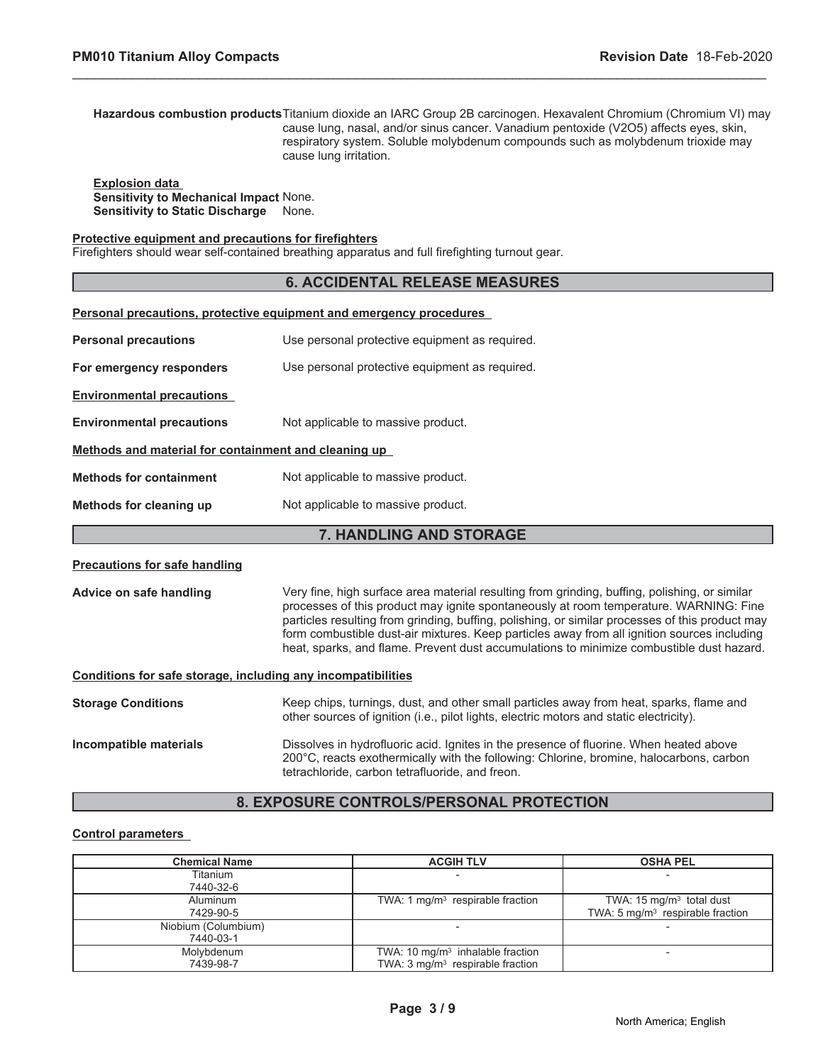**Hazardous combustion products**Titanium dioxide an IARC Group 2B carcinogen. Hexavalent Chromium (Chromium VI) may cause lung, nasal, and/or sinus cancer. Vanadium pentoxide (V2O5) affects eyes, skin, respiratory system. Soluble molybdenum compounds such as molybdenum trioxide may cause lung irritation.

\_\_\_\_\_\_\_\_\_\_\_\_\_\_\_\_\_\_\_\_\_\_\_\_\_\_\_\_\_\_\_\_\_\_\_\_\_\_\_\_\_\_\_\_\_\_\_\_\_\_\_\_\_\_\_\_\_\_\_\_\_\_\_\_\_\_\_\_\_\_\_\_\_\_\_\_\_\_\_\_\_\_\_\_\_\_\_\_\_\_\_\_\_

**Explosion data Sensitivity to Mechanical Impact** None. **Sensitivity to Static Discharge** None.

# **Protective equipment and precautions for firefighters**

Firefighters should wear self-contained breathing apparatus and full firefighting turnout gear.

#### **6. ACCIDENTAL RELEASE MEASURES**

| Personal precautions, protective equipment and emergency procedures |                                                                                                                                                                                        |  |  |
|---------------------------------------------------------------------|----------------------------------------------------------------------------------------------------------------------------------------------------------------------------------------|--|--|
| <b>Personal precautions</b>                                         | Use personal protective equipment as required.                                                                                                                                         |  |  |
| For emergency responders                                            | Use personal protective equipment as required.                                                                                                                                         |  |  |
| <b>Environmental precautions</b>                                    |                                                                                                                                                                                        |  |  |
| <b>Environmental precautions</b>                                    | Not applicable to massive product.                                                                                                                                                     |  |  |
| Methods and material for containment and cleaning up                |                                                                                                                                                                                        |  |  |
| <b>Methods for containment</b>                                      | Not applicable to massive product.                                                                                                                                                     |  |  |
| Methods for cleaning up                                             | Not applicable to massive product.                                                                                                                                                     |  |  |
| <b>7. HANDLING AND STORAGE</b>                                      |                                                                                                                                                                                        |  |  |
| <b>Precautions for safe handling</b>                                |                                                                                                                                                                                        |  |  |
| Advice on safe handling                                             | Very fine, high surface area material resulting from grinding, buffing, polishing, or similar<br>processes of this product may ignite spontaneously at room temperature. WARNING: Fine |  |  |

particles resulting from grinding, buffing, polishing, or similar processes of this product may form combustible dust-air mixtures. Keep particles away from all ignition sources including heat, sparks, and flame. Prevent dust accumulations to minimize combustible dust hazard.

#### **Conditions for safe storage, including any incompatibilities**

| <b>Storage Conditions</b> | Keep chips, turnings, dust, and other small particles away from heat, sparks, flame and<br>other sources of ignition (i.e., pilot lights, electric motors and static electricity).                                                   |
|---------------------------|--------------------------------------------------------------------------------------------------------------------------------------------------------------------------------------------------------------------------------------|
| Incompatible materials    | Dissolves in hydrofluoric acid. Ignites in the presence of fluorine. When heated above<br>200°C, reacts exothermically with the following: Chlorine, bromine, halocarbons, carbon<br>tetrachloride, carbon tetrafluoride, and freon. |

# **8. EXPOSURE CONTROLS/PERSONAL PROTECTION**

#### **Control parameters**

| <b>Chemical Name</b> | <b>ACGIH TLV</b>                           | <b>OSHA PEL</b>                             |
|----------------------|--------------------------------------------|---------------------------------------------|
| Titanium             |                                            |                                             |
| 7440-32-6            |                                            |                                             |
| Aluminum             | TWA: 1 $mq/m3$ respirable fraction         | TWA: $15 \text{ mg/m}^3$ total dust         |
| 7429-90-5            |                                            | TWA: $5 \text{ mg/m}^3$ respirable fraction |
| Niobium (Columbium)  |                                            |                                             |
| 7440-03-1            |                                            |                                             |
| Molybdenum           | TWA: 10 $mg/m3$ inhalable fraction         |                                             |
| 7439-98-7            | TWA: $3 \text{mq/m}^3$ respirable fraction |                                             |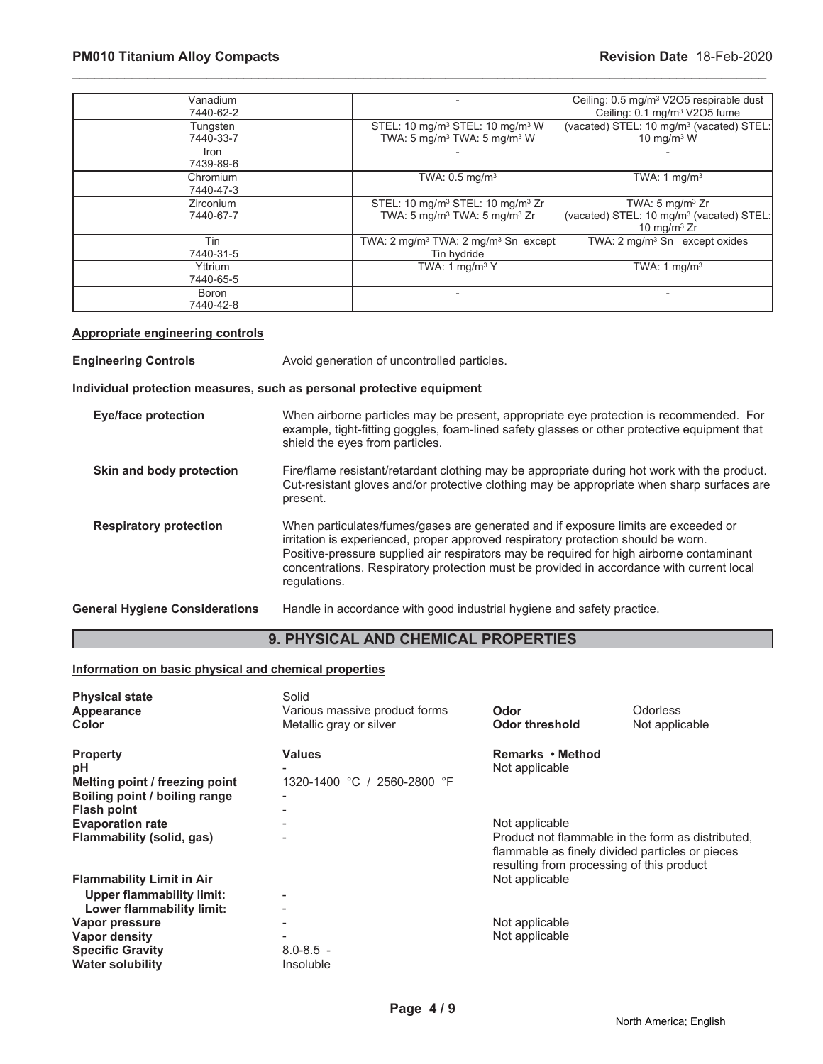| Vanadium<br>7440-62-2  |                                                                                                                  | Ceiling: 0.5 mg/m <sup>3</sup> V2O5 respirable dust<br>Ceiling: 0.1 mg/m <sup>3</sup> V2O5 fume      |
|------------------------|------------------------------------------------------------------------------------------------------------------|------------------------------------------------------------------------------------------------------|
| Tungsten<br>7440-33-7  | STEL: 10 mg/m <sup>3</sup> STEL: 10 mg/m <sup>3</sup> W<br>TWA: 5 mg/m <sup>3</sup> TWA: 5 mg/m <sup>3</sup> W   | (vacated) STEL: 10 mg/m <sup>3</sup> (vacated) STEL:<br>10 mg/m $3$ W                                |
| Iron<br>7439-89-6      |                                                                                                                  |                                                                                                      |
| Chromium<br>7440-47-3  | TWA: $0.5$ mg/m <sup>3</sup>                                                                                     | TWA: 1 $mq/m3$                                                                                       |
| Zirconium<br>7440-67-7 | STEL: 10 mg/m <sup>3</sup> STEL: 10 mg/m <sup>3</sup> Zr<br>TWA: 5 mg/m <sup>3</sup> TWA: 5 mg/m <sup>3</sup> Zr | TWA: $5 \text{ mg/m}^3$ Zr<br>(vacated) STEL: 10 mg/m <sup>3</sup> (vacated) STEL:<br>10 mg/m $3$ Zr |
| Tin<br>7440-31-5       | TWA: $2 \text{ mq/m}^3$ TWA: $2 \text{ mq/m}^3$ Sn except<br>Tin hydride                                         | TWA: $2 \text{ mq/m}^3$ Sn except oxides                                                             |
| Yttrium<br>7440-65-5   | TWA: 1 mg/m $3 Y$                                                                                                | TWA: 1 mg/m <sup>3</sup>                                                                             |
| Boron<br>7440-42-8     |                                                                                                                  |                                                                                                      |

\_\_\_\_\_\_\_\_\_\_\_\_\_\_\_\_\_\_\_\_\_\_\_\_\_\_\_\_\_\_\_\_\_\_\_\_\_\_\_\_\_\_\_\_\_\_\_\_\_\_\_\_\_\_\_\_\_\_\_\_\_\_\_\_\_\_\_\_\_\_\_\_\_\_\_\_\_\_\_\_\_\_\_\_\_\_\_\_\_\_\_\_\_

### **Appropriate engineering controls**

**Engineering Controls Avoid generation of uncontrolled particles.** 

# **Individual protection measures, such as personal protective equipment**

| Eye/face protection                   | When airborne particles may be present, appropriate eye protection is recommended. For<br>example, tight-fitting goggles, foam-lined safety glasses or other protective equipment that<br>shield the eyes from particles.                                                                                                                                                       |
|---------------------------------------|---------------------------------------------------------------------------------------------------------------------------------------------------------------------------------------------------------------------------------------------------------------------------------------------------------------------------------------------------------------------------------|
| Skin and body protection              | Fire/flame resistant/retardant clothing may be appropriate during hot work with the product.<br>Cut-resistant gloves and/or protective clothing may be appropriate when sharp surfaces are<br>present.                                                                                                                                                                          |
| <b>Respiratory protection</b>         | When particulates/fumes/gases are generated and if exposure limits are exceeded or<br>irritation is experienced, proper approved respiratory protection should be worn.<br>Positive-pressure supplied air respirators may be required for high airborne contaminant<br>concentrations. Respiratory protection must be provided in accordance with current local<br>regulations. |
| <b>General Hygiene Considerations</b> | Handle in accordance with good industrial hygiene and safety practice.                                                                                                                                                                                                                                                                                                          |

# **9. PHYSICAL AND CHEMICAL PROPERTIES**

# **Information on basic physical and chemical properties**

| <b>Physical state</b><br>Appearance<br><b>Color</b> | Solid<br>Various massive product forms<br>Metallic gray or silver | Odor<br><b>Odor threshold</b>             | Odorless<br>Not applicable                                                                           |
|-----------------------------------------------------|-------------------------------------------------------------------|-------------------------------------------|------------------------------------------------------------------------------------------------------|
| <b>Property</b>                                     | <b>Values</b>                                                     | Remarks • Method                          |                                                                                                      |
| рH<br>Melting point / freezing point                | 1320-1400 °C / 2560-2800 °F                                       | Not applicable                            |                                                                                                      |
| Boiling point / boiling range                       |                                                                   |                                           |                                                                                                      |
| <b>Flash point</b>                                  |                                                                   |                                           |                                                                                                      |
| <b>Evaporation rate</b>                             |                                                                   | Not applicable                            |                                                                                                      |
| Flammability (solid, gas)                           |                                                                   | resulting from processing of this product | Product not flammable in the form as distributed,<br>flammable as finely divided particles or pieces |
| <b>Flammability Limit in Air</b>                    |                                                                   | Not applicable                            |                                                                                                      |
| Upper flammability limit:                           |                                                                   |                                           |                                                                                                      |
| Lower flammability limit:                           |                                                                   |                                           |                                                                                                      |
| Vapor pressure                                      |                                                                   | Not applicable                            |                                                                                                      |
| Vapor density                                       |                                                                   | Not applicable                            |                                                                                                      |
| <b>Specific Gravity</b>                             | $8.0 - 8.5 -$                                                     |                                           |                                                                                                      |
| <b>Water solubility</b>                             | Insoluble                                                         |                                           |                                                                                                      |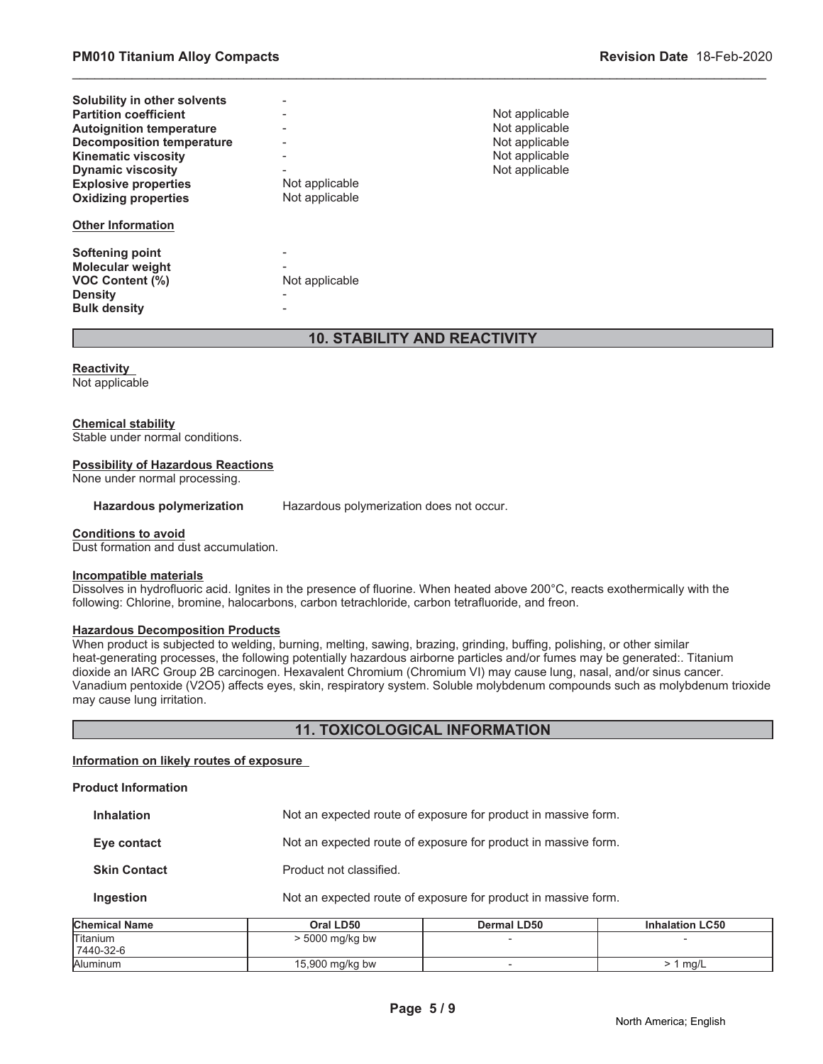| Solubility in other solvents     |                              |                |
|----------------------------------|------------------------------|----------------|
| <b>Partition coefficient</b>     | -                            | Not applicable |
| <b>Autoignition temperature</b>  |                              | Not applicable |
| <b>Decomposition temperature</b> | $\qquad \qquad \blacksquare$ | Not applicable |
| <b>Kinematic viscosity</b>       | $\qquad \qquad \blacksquare$ | Not applicable |
| <b>Dynamic viscosity</b>         | $\overline{\phantom{0}}$     | Not applicable |
| <b>Explosive properties</b>      | Not applicable               |                |
| <b>Oxidizing properties</b>      | Not applicable               |                |
| <b>Other Information</b>         |                              |                |
| <b>Softening point</b>           |                              |                |
| <b>Molecular weight</b>          |                              |                |
| <b>VOC Content (%)</b>           | Not applicable               |                |
| <b>Density</b>                   | $\overline{\phantom{0}}$     |                |
| <b>Bulk density</b>              |                              |                |

# **10. STABILITY AND REACTIVITY**

\_\_\_\_\_\_\_\_\_\_\_\_\_\_\_\_\_\_\_\_\_\_\_\_\_\_\_\_\_\_\_\_\_\_\_\_\_\_\_\_\_\_\_\_\_\_\_\_\_\_\_\_\_\_\_\_\_\_\_\_\_\_\_\_\_\_\_\_\_\_\_\_\_\_\_\_\_\_\_\_\_\_\_\_\_\_\_\_\_\_\_\_\_

#### **Reactivity**

Not applicable

#### **Chemical stability**

Stable under normal conditions.

#### **Possibility of Hazardous Reactions**

None under normal processing.

**Hazardous polymerization** Hazardous polymerization does not occur.

#### **Conditions to avoid**

Dust formation and dust accumulation.

#### **Incompatible materials**

Dissolves in hydrofluoric acid. Ignites in the presence of fluorine. When heated above 200°C, reacts exothermically with the following: Chlorine, bromine, halocarbons, carbon tetrachloride, carbon tetrafluoride, and freon.

#### **Hazardous Decomposition Products**

When product is subjected to welding, burning, melting, sawing, brazing, grinding, buffing, polishing, or other similar heat-generating processes, the following potentially hazardous airborne particles and/or fumes may be generated:. Titanium dioxide an IARC Group 2B carcinogen. Hexavalent Chromium (Chromium VI) may cause lung, nasal, and/or sinus cancer. Vanadium pentoxide (V2O5) affects eyes, skin, respiratory system. Soluble molybdenum compounds such as molybdenum trioxide may cause lung irritation.

# **11. TOXICOLOGICAL INFORMATION**

# **Information on likely routes of exposure**

#### **Product Information**

| .                   |                                                                |  |  |
|---------------------|----------------------------------------------------------------|--|--|
| Ingestion           | Not an expected route of exposure for product in massive form. |  |  |
| <b>Skin Contact</b> | Product not classified.                                        |  |  |
| Eye contact         | Not an expected route of exposure for product in massive form. |  |  |
| <b>Inhalation</b>   | Not an expected route of exposure for product in massive form. |  |  |

| <b>Chemical Name</b> | Oral LD50       | <b>Dermal LD50</b> | <b>Inhalation LC50</b> |
|----------------------|-----------------|--------------------|------------------------|
| Titanium             | > 5000 mg/kg bw |                    |                        |
| 7440-32-6            |                 |                    |                        |
| Aluminum             | 15,900 mg/kg bw |                    | ma/L                   |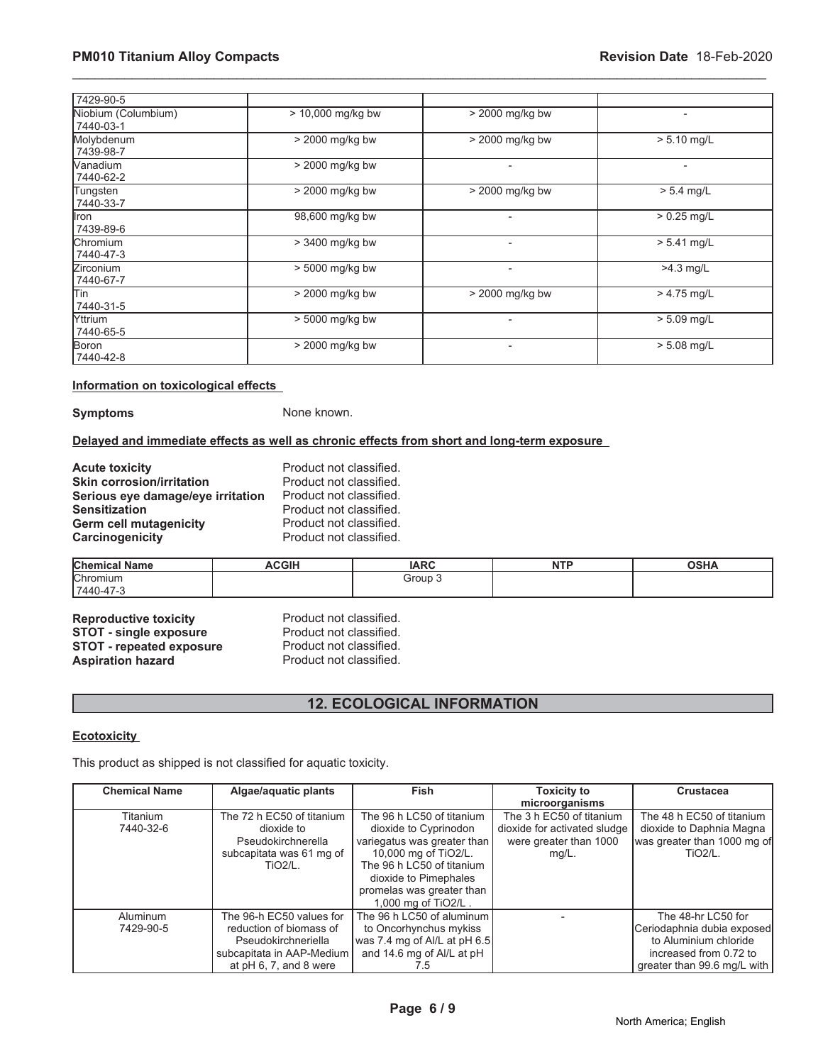| 7429-90-5                        |                   |                          |                          |
|----------------------------------|-------------------|--------------------------|--------------------------|
| Niobium (Columbium)<br>7440-03-1 | > 10,000 mg/kg bw | > 2000 mg/kg bw          | $\overline{\phantom{a}}$ |
| Molybdenum<br>7439-98-7          | > 2000 mg/kg bw   | > 2000 mg/kg bw          | $> 5.10$ mg/L            |
| Nanadium<br>7440-62-2            | > 2000 mg/kg bw   | $\blacksquare$           | $\overline{\phantom{0}}$ |
| Tungsten<br>7440-33-7            | > 2000 mg/kg bw   | > 2000 mg/kg bw          | $> 5.4$ mg/L             |
| llron<br>7439-89-6               | 98,600 mg/kg bw   | -                        | $> 0.25$ mg/L            |
| Chromium<br>7440-47-3            | $>$ 3400 mg/kg bw | $\overline{a}$           | $> 5.41$ mg/L            |
| Zirconium<br>7440-67-7           | > 5000 mg/kg bw   | $\overline{\phantom{0}}$ | >4.3 mg/L                |
| lTin<br>7440-31-5                | > 2000 mg/kg bw   | > 2000 mg/kg bw          | $> 4.75$ mg/L            |
| <b>Yttrium</b><br>7440-65-5      | > 5000 mg/kg bw   |                          | $> 5.09$ mg/L            |
| Boron<br>7440-42-8               | > 2000 mg/kg bw   | $\overline{\phantom{0}}$ | $> 5.08$ mg/L            |

\_\_\_\_\_\_\_\_\_\_\_\_\_\_\_\_\_\_\_\_\_\_\_\_\_\_\_\_\_\_\_\_\_\_\_\_\_\_\_\_\_\_\_\_\_\_\_\_\_\_\_\_\_\_\_\_\_\_\_\_\_\_\_\_\_\_\_\_\_\_\_\_\_\_\_\_\_\_\_\_\_\_\_\_\_\_\_\_\_\_\_\_\_

#### **Information on toxicological effects**

**Symptoms** None known.

### **Delayed and immediate effects as well as chronic effects from short and long-term exposure**

| <b>Acute toxicity</b>             | Product not classified. |
|-----------------------------------|-------------------------|
| <b>Skin corrosion/irritation</b>  | Product not classified. |
| Serious eye damage/eye irritation | Product not classified. |
| <b>Sensitization</b>              | Product not classified. |
| <b>Germ cell mutagenicity</b>     | Product not classified. |
| <b>Carcinogenicity</b>            | Product not classified. |

| <b>Chemic</b><br>Name. | COLL<br>חוטט, | ᅝᅌ    | <b>NTP</b> | $\sim$ u $\sim$<br>וסכ |
|------------------------|---------------|-------|------------|------------------------|
| Chromium               |               | Group |            |                        |
| $17440 - 47 -$         |               |       |            |                        |

**Reproductive toxicity** Product not classified.<br> **STOT - single exposure** Product not classified. **STOT - single exposure** Product not classified.<br> **STOT - repeated exposure** Product not classified. **STOT - repeated exposure** Product not classified.<br> **Aspiration hazard** Product not classified. **Aspiration hazard** 

# **12. ECOLOGICAL INFORMATION**

# **Ecotoxicity**

This product as shipped is not classified for aquatic toxicity.

| <b>Chemical Name</b> | Algae/aquatic plants      | <b>Fish</b>                  | <b>Toxicity to</b>           | <b>Crustacea</b>            |
|----------------------|---------------------------|------------------------------|------------------------------|-----------------------------|
|                      |                           |                              | microorganisms               |                             |
| Titanium             | The 72 h EC50 of titanium | The 96 h LC50 of titanium    | The 3 h EC50 of titanium     | The 48 h EC50 of titanium   |
| 7440-32-6            | dioxide to                | dioxide to Cyprinodon        | dioxide for activated sludge | dioxide to Daphnia Magna    |
|                      | Pseudokirchnerella        | variegatus was greater than  | were greater than 1000       | was greater than 1000 mg of |
|                      | subcapitata was 61 mg of  | 10,000 mg of TiO2/L.         | mg/L.                        | $TiO2/L$ .                  |
|                      | $TiO2/L$ .                | The 96 h LC50 of titanium    |                              |                             |
|                      |                           | dioxide to Pimephales        |                              |                             |
|                      |                           | promelas was greater than    |                              |                             |
|                      |                           | 1,000 mg of TiO2/L.          |                              |                             |
| Aluminum             | The 96-h EC50 values for  | The 96 h LC50 of aluminum    |                              | The 48-hr LC50 for          |
| 7429-90-5            | reduction of biomass of   | to Oncorhynchus mykiss       |                              | Ceriodaphnia dubia exposed  |
|                      | Pseudokirchneriella       | was 7.4 mg of Al/L at pH 6.5 |                              | to Aluminium chloride       |
|                      | subcapitata in AAP-Medium | and 14.6 mg of Al/L at pH    |                              | increased from 0.72 to      |
|                      | at $pH$ 6, 7, and 8 were  | $\sqrt{5}$                   |                              | greater than 99.6 mg/L with |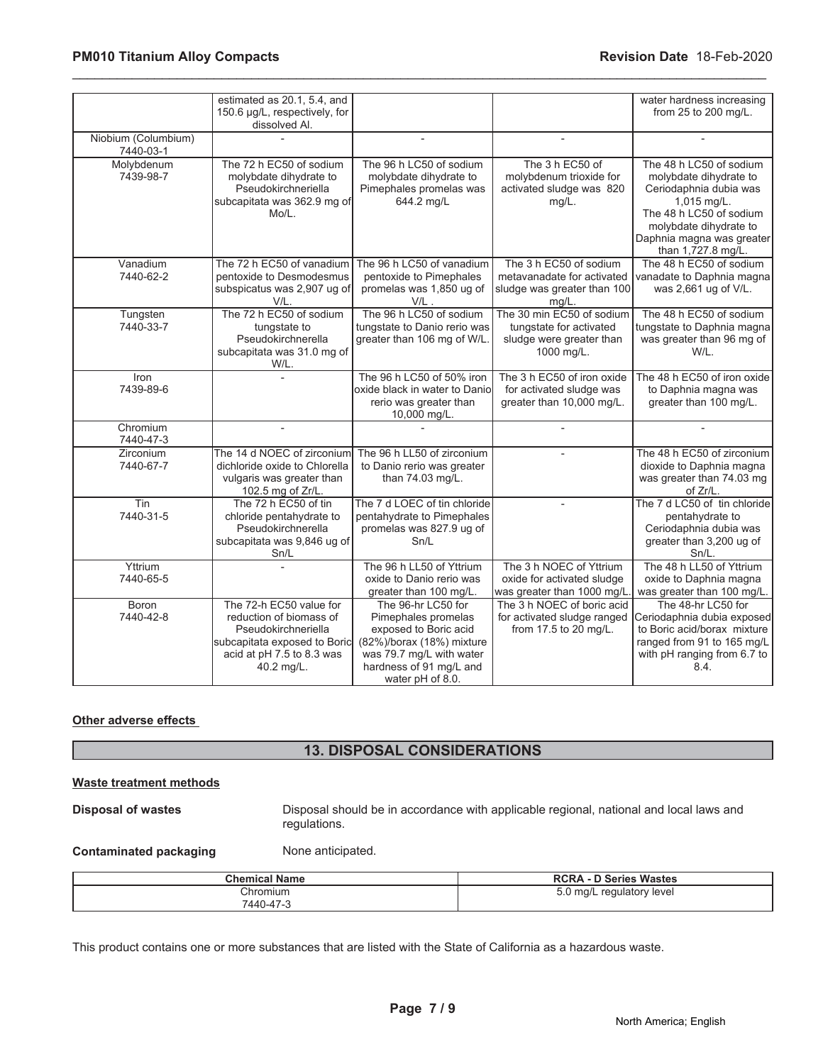|                                  | estimated as 20.1, 5.4, and<br>150.6 µg/L, respectively, for<br>dissolved Al.                                                                        |                                                                                                                                                                            |                                                                                                | water hardness increasing<br>from 25 to 200 mg/L.                                                                                                                                                  |
|----------------------------------|------------------------------------------------------------------------------------------------------------------------------------------------------|----------------------------------------------------------------------------------------------------------------------------------------------------------------------------|------------------------------------------------------------------------------------------------|----------------------------------------------------------------------------------------------------------------------------------------------------------------------------------------------------|
| Niobium (Columbium)<br>7440-03-1 |                                                                                                                                                      | $\overline{a}$                                                                                                                                                             | $\overline{a}$                                                                                 |                                                                                                                                                                                                    |
| Molybdenum<br>7439-98-7          | The 72 h EC50 of sodium<br>molybdate dihydrate to<br>Pseudokirchneriella<br>subcapitata was 362.9 mg of<br>Mo/L.                                     | The 96 h LC50 of sodium<br>molybdate dihydrate to<br>Pimephales promelas was<br>644.2 mg/L                                                                                 | The 3 h EC50 of<br>molybdenum trioxide for<br>activated sludge was 820<br>$mg/L$ .             | The 48 h LC50 of sodium<br>molybdate dihydrate to<br>Ceriodaphnia dubia was<br>1,015 mg/L.<br>The 48 h LC50 of sodium<br>molybdate dihydrate to<br>Daphnia magna was greater<br>than 1,727.8 mg/L. |
| Vanadium<br>7440-62-2            | The 72 h EC50 of vanadium<br>pentoxide to Desmodesmus<br>subspicatus was 2,907 ug of<br>V/L.                                                         | The 96 h LC50 of vanadium<br>pentoxide to Pimephales<br>promelas was 1,850 ug of<br>$V/L$ .                                                                                | The 3 h EC50 of sodium<br>metavanadate for activated<br>sludge was greater than 100<br>mg/L.   | The 48 h EC50 of sodium<br>vanadate to Daphnia magna<br>was 2,661 ug of V/L.                                                                                                                       |
| Tungsten<br>7440-33-7            | The 72 h EC50 of sodium<br>tungstate to<br>Pseudokirchnerella<br>subcapitata was 31.0 mg of<br>W/L.                                                  | The 96 h LC50 of sodium<br>tungstate to Danio rerio was<br>greater than 106 mg of W/L.                                                                                     | The 30 min EC50 of sodium<br>tungstate for activated<br>sludge were greater than<br>1000 mg/L. | The 48 h EC50 of sodium<br>tungstate to Daphnia magna<br>was greater than 96 mg of<br>W/L.                                                                                                         |
| Iron<br>7439-89-6                |                                                                                                                                                      | The 96 h LC50 of 50% iron<br>oxide black in water to Danio<br>rerio was greater than<br>10,000 mg/L.                                                                       | The 3 h EC50 of iron oxide<br>for activated sludge was<br>greater than 10,000 mg/L.            | The 48 h EC50 of iron oxide<br>to Daphnia magna was<br>greater than 100 mg/L.                                                                                                                      |
| Chromium<br>7440-47-3            | ÷                                                                                                                                                    |                                                                                                                                                                            | $\overline{\phantom{a}}$                                                                       |                                                                                                                                                                                                    |
| <b>Zirconium</b><br>7440-67-7    | The 14 d NOEC of zirconium<br>dichloride oxide to Chlorella<br>vulgaris was greater than<br>102.5 mg of Zr/L.                                        | The 96 h LL50 of zirconium<br>to Danio rerio was greater<br>than 74.03 mg/L.                                                                                               |                                                                                                | The 48 h EC50 of zirconium<br>dioxide to Daphnia magna<br>was greater than 74.03 mg<br>of Zr/L.                                                                                                    |
| Tin<br>7440-31-5                 | The 72 h EC50 of tin<br>chloride pentahydrate to<br>Pseudokirchnerella<br>subcapitata was 9,846 ug of<br>Sn/L                                        | The 7 d LOEC of tin chloride<br>pentahydrate to Pimephales<br>promelas was 827.9 ug of<br>Sn/L                                                                             | $\overline{a}$                                                                                 | The 7 d LC50 of tin chloride<br>pentahydrate to<br>Ceriodaphnia dubia was<br>greater than 3,200 ug of<br>Sn/L.                                                                                     |
| Yttrium<br>7440-65-5             |                                                                                                                                                      | The 96 h LL50 of Yttrium<br>oxide to Danio rerio was<br>greater than 100 mg/L.                                                                                             | The 3 h NOEC of Yttrium<br>oxide for activated sludge<br>was greater than 1000 mg/L.           | The 48 h LL50 of Yttrium<br>oxide to Daphnia magna<br>was greater than 100 mg/L.                                                                                                                   |
| Boron<br>7440-42-8               | The 72-h EC50 value for<br>reduction of biomass of<br>Pseudokirchneriella<br>subcapitata exposed to Boric<br>acid at pH 7.5 to 8.3 was<br>40.2 mg/L. | The 96-hr LC50 for<br>Pimephales promelas<br>exposed to Boric acid<br>(82%)/borax (18%) mixture<br>was 79.7 mg/L with water<br>hardness of 91 mg/L and<br>water pH of 8.0. | The 3 h NOEC of boric acid<br>for activated sludge ranged<br>from 17.5 to 20 mg/L.             | The 48-hr LC50 for<br>Ceriodaphnia dubia exposed<br>to Boric acid/borax mixture<br>ranged from 91 to 165 mg/L<br>with pH ranging from 6.7 to<br>8.4.                                               |

\_\_\_\_\_\_\_\_\_\_\_\_\_\_\_\_\_\_\_\_\_\_\_\_\_\_\_\_\_\_\_\_\_\_\_\_\_\_\_\_\_\_\_\_\_\_\_\_\_\_\_\_\_\_\_\_\_\_\_\_\_\_\_\_\_\_\_\_\_\_\_\_\_\_\_\_\_\_\_\_\_\_\_\_\_\_\_\_\_\_\_\_\_

### **Other adverse effects**

# **13. DISPOSAL CONSIDERATIONS**

#### **Waste treatment methods**

**Disposal of wastes Disposal should be in accordance with applicable regional, national and local laws and** regulations.

**Contaminated packaging Mone anticipated.** 

| <b>Chemical Name</b> | <b>RCRA - D Series Wastes</b> |
|----------------------|-------------------------------|
| Chromium             | 5.0 mg/L regulatory level     |
| 7440-47-3            |                               |

This product contains one or more substances that are listed with the State of California as a hazardous waste.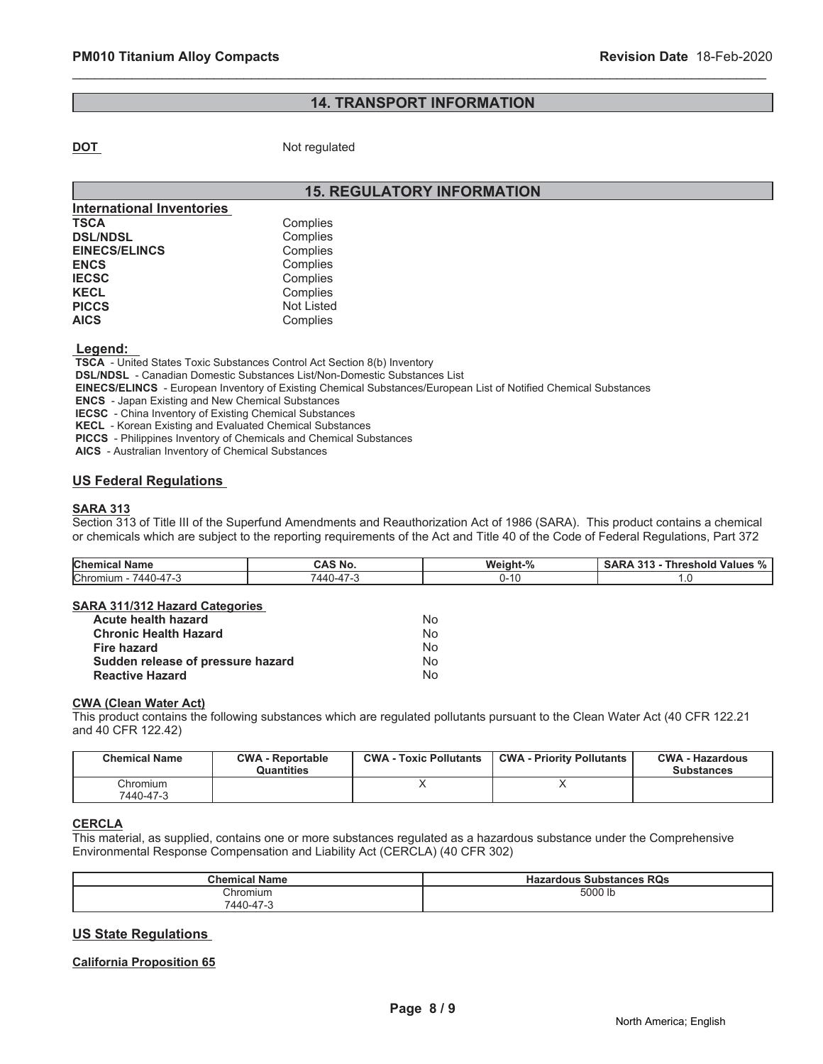# **14. TRANSPORT INFORMATION**

\_\_\_\_\_\_\_\_\_\_\_\_\_\_\_\_\_\_\_\_\_\_\_\_\_\_\_\_\_\_\_\_\_\_\_\_\_\_\_\_\_\_\_\_\_\_\_\_\_\_\_\_\_\_\_\_\_\_\_\_\_\_\_\_\_\_\_\_\_\_\_\_\_\_\_\_\_\_\_\_\_\_\_\_\_\_\_\_\_\_\_\_\_

**DOT** Not regulated

# **15. REGULATORY INFORMATION**

| <b>International Inventories</b> |                   |
|----------------------------------|-------------------|
| TSCA                             | Complies          |
| <b>DSL/NDSL</b>                  | Complies          |
| <b>EINECS/ELINCS</b>             | Complies          |
| <b>ENCS</b>                      | Complies          |
| <b>IECSC</b>                     | Complies          |
| <b>KECL</b>                      | Complies          |
| <b>PICCS</b>                     | <b>Not Listed</b> |
| <b>AICS</b>                      | Complies          |

 **Legend:** 

 **TSCA** - United States Toxic Substances Control Act Section 8(b) Inventory  **DSL/NDSL** - Canadian Domestic Substances List/Non-Domestic Substances List  **EINECS/ELINCS** - European Inventory of Existing Chemical Substances/European List of Notified Chemical Substances  **ENCS** - Japan Existing and New Chemical Substances

 **IECSC** - China Inventory of Existing Chemical Substances

 **KECL** - Korean Existing and Evaluated Chemical Substances

 **PICCS** - Philippines Inventory of Chemicals and Chemical Substances

 **AICS** - Australian Inventory of Chemical Substances

### **US Federal Regulations**

#### **SARA 313**

Section 313 of Title III of the Superfund Amendments and Reauthorization Act of 1986 (SARA). This product contains a chemical or chemicals which are subject to the reporting requirements of the Act and Title 40 of the Code of Federal Regulations, Part 372

| <b>Chemical Name</b>    | CAS No.   | Weight-% | <b>Threshold Values % ∣</b><br><b>SARA 313 -</b> |  |
|-------------------------|-----------|----------|--------------------------------------------------|--|
| Chromium -<br>7440-47-3 | 7440-47-3 | 0-10     | يا .                                             |  |
|                         |           |          |                                                  |  |

#### **SARA 311/312 Hazard Categories**

| Acute health hazard               | No |
|-----------------------------------|----|
| <b>Chronic Health Hazard</b>      | No |
| Fire hazard                       | No |
| Sudden release of pressure hazard | No |
| <b>Reactive Hazard</b>            | N٥ |

# **CWA (Clean Water Act)**

This product contains the following substances which are regulated pollutants pursuant to the Clean Water Act (40 CFR 122.21 and 40 CFR 122.42)

| <b>Chemical Name</b>  | <b>CWA - Reportable</b><br><b>Quantities</b> | <b>CWA - Toxic Pollutants</b> | <b>CWA - Priority Pollutants</b> | <b>CWA - Hazardous</b><br><b>Substances</b> |
|-----------------------|----------------------------------------------|-------------------------------|----------------------------------|---------------------------------------------|
| Chromium<br>7440-47-3 |                                              |                               |                                  |                                             |

# **CERCLA**

This material, as supplied, contains one or more substances regulated as a hazardous substance under the Comprehensive Environmental Response Compensation and Liability Act (CERCLA) (40 CFR 302)

| Chemical<br>∖ Name | <b>RQs</b><br>: Substances<br><b>Hazardous</b> |
|--------------------|------------------------------------------------|
| Chromium           | 5000 lb                                        |
| 7440-47-3          |                                                |

#### **US State Regulations**

#### **California Proposition 65**